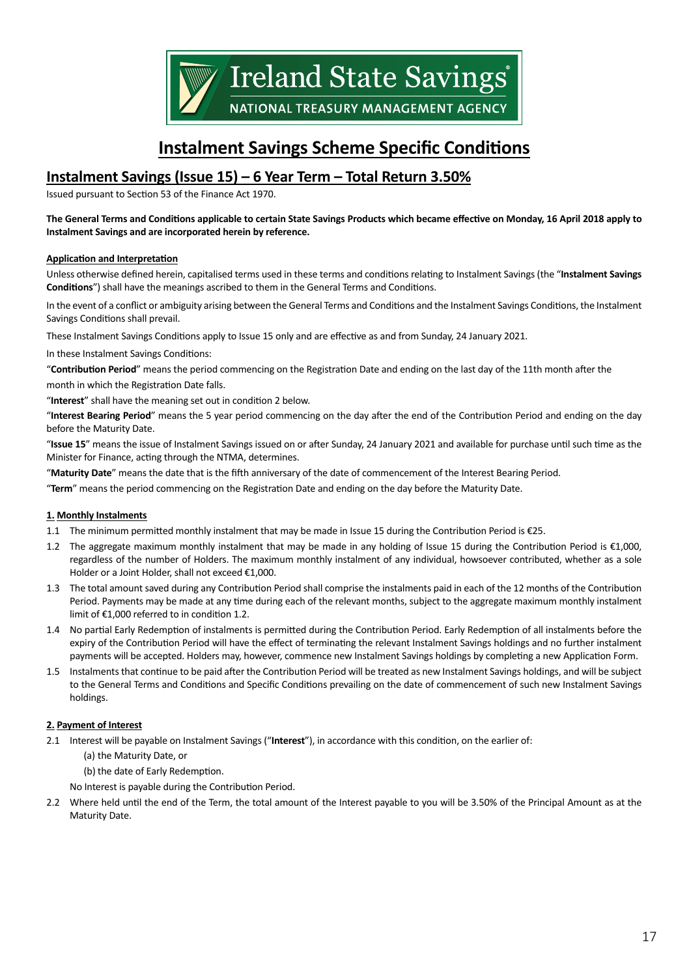

# **Instalment Savings Scheme Specific Conditions**

# **Instalment Savings (Issue 15) – 6 Year Term – Total Return 3.50%**

Issued pursuant to Section 53 of the Finance Act 1970.

#### **The General Terms and Conditions applicable to certain State Savings Products which became effective on Monday, 16 April 2018 apply to Instalment Savings and are incorporated herein by reference.**

#### **Application and Interpretation**

Unless otherwise defined herein, capitalised terms used in these terms and conditions relating to Instalment Savings (the "**Instalment Savings Conditions**") shall have the meanings ascribed to them in the General Terms and Conditions.

In the event of a conflict or ambiguity arising between the General Terms and Conditions and the Instalment Savings Conditions, the Instalment Savings Conditions shall prevail.

These Instalment Savings Conditions apply to Issue 15 only and are effective as and from Sunday, 24 January 2021.

In these Instalment Savings Conditions:

"**Contribution Period**" means the period commencing on the Registration Date and ending on the last day of the 11th month after the month in which the Registration Date falls.

"**Interest**" shall have the meaning set out in condition 2 below.

"**Interest Bearing Period**" means the 5 year period commencing on the day after the end of the Contribution Period and ending on the day before the Maturity Date.

"**Issue 15**" means the issue of Instalment Savings issued on or after Sunday, 24 January 2021 and available for purchase until such time as the Minister for Finance, acting through the NTMA, determines.

"**Maturity Date**" means the date that is the fifth anniversary of the date of commencement of the Interest Bearing Period.

"**Term**" means the period commencing on the Registration Date and ending on the day before the Maturity Date.

#### **1. Monthly Instalments**

- 1.1 The minimum permitted monthly instalment that may be made in Issue 15 during the Contribution Period is €25.
- 1.2 The aggregate maximum monthly instalment that may be made in any holding of Issue 15 during the Contribution Period is €1,000, regardless of the number of Holders. The maximum monthly instalment of any individual, howsoever contributed, whether as a sole Holder or a Joint Holder, shall not exceed €1,000.
- 1.3 The total amount saved during any Contribution Period shall comprise the instalments paid in each of the 12 months of the Contribution Period. Payments may be made at any time during each of the relevant months, subject to the aggregate maximum monthly instalment limit of €1,000 referred to in condition 1.2.
- 1.4 No partial Early Redemption of instalments is permitted during the Contribution Period. Early Redemption of all instalments before the expiry of the Contribution Period will have the effect of terminating the relevant Instalment Savings holdings and no further instalment payments will be accepted. Holders may, however, commence new Instalment Savings holdings by completing a new Application Form.
- 1.5 Instalments that continue to be paid after the Contribution Period will be treated as new Instalment Savings holdings, and will be subject to the General Terms and Conditions and Specific Conditions prevailing on the date of commencement of such new Instalment Savings holdings.

## **2. Payment of Interest**

- 2.1 Interest will be payable on Instalment Savings ("**Interest**"), in accordance with this condition, on the earlier of:
	- (a) the Maturity Date, or
	- (b) the date of Early Redemption.
	- No Interest is payable during the Contribution Period.
- 2.2 Where held until the end of the Term, the total amount of the Interest payable to you will be 3.50% of the Principal Amount as at the Maturity Date.